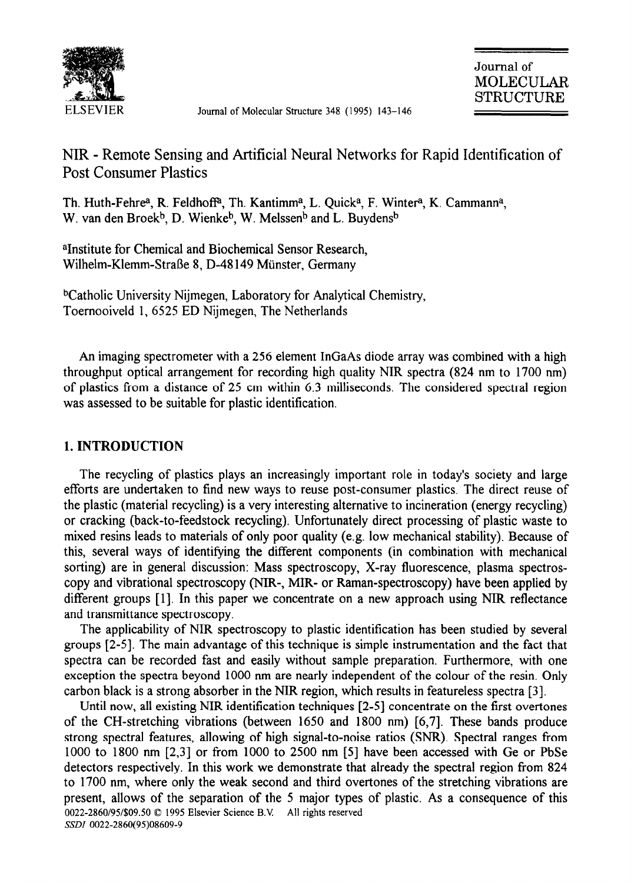

Journal of Molecular Structure 348 (1995) 143-146

# NIR - Remote Sensing and Artificial Neural Networks for Rapid Identification of Post Consumer Plastics

Th. Huth-Fehre<sup>a</sup>, R. Feldhoff<sup>a</sup>, Th. Kantimm<sup>a</sup>, L. Quick<sup>a</sup>, F. Winter<sup>a</sup>, K. Cammann<sup>a</sup>, W. van den Broek<sup>b</sup>, D. Wienke<sup>b</sup>, W. Melssen<sup>b</sup> and L. Buydens<sup>b</sup>

aInstitute for Chemical and Biochemical Sensor Research, Wilhelm-Klemm-Stral3e 8, D-48149 Miinster, Germany

bcatholic University Nijmegen, Laboratory for Analytical Chemistry, Toernooiveld 1, 6525 ED Nijmegen, The Netherlands

An imaging spectrometer with a 256 element InGaAs diode array was combined with a high throughput optical arrangement for recording high quality NIR spectra (824 nm to 1700 nm) of plastics from a distance of 25 cm within 6.3 milliseconds. The considered spectral region was assessed to be suitable for plastic identification.

# 1. INTRODUCTION

The recycling of plastics plays an increasingly important role in today's society and large efforts are undertaken to find new ways to reuse post-consumer plastics. The direct reuse of the plastic (material recycling) is a very interesting alternative to incineration (energy recycling) or cracking (back-to-feedstock recycling). Unfortunately direct processing of plastic waste to mixed resins leads to materials of only poor quality (e.g. low mechanical stability). Because of this, several ways of identifying the different components (in combination with mechanical sorting) are in general discussion: Mass spectroscopy, X-ray fluorescence, plasma spectroscopy and vibrational spectroscopy (NIR-, MIR- or Raman-spectroscopy) have been applied by different groups [1]. In this paper we concentrate on a new approach using NIR reflectance and transmittance spectroscopy.

The applicability of NIR spectroscopy to plastic identification has been studied by several groups [2-51. The main advantage of this technique is simple instrumentation and the fact that spectra can be recorded fast and easily without sample preparation. Furthermore, with one exception the spectra beyond 1000 nm are nearly independent of the colour of the resin. Only carbon black is a strong absorber in the NIR region, which results in featureless spectra [3].

Until now, all existing NIR identification techniques [2-51 concentrate on the first overtones of the CH-stretching vibrations (between 1650 and 1800 nm) [6,7]. These bands produce strong spectral features, allowing of high signal-to-noise ratios (SNR). Spectral ranges from 1000 to 1800 nm [2,3] or from 1000 to 2500 nm [5] have been accessed with Ge or PbSe detectors respectively. In this work we demonstrate that already the spectral region from 824 to 1700 nm, where only the weak second and third overtones of the stretching vibrations are present, allows of the separation of the 5 major types of plastic. As a consequence of this 0022-2860/95/\$09.50 0 1995 Elsevier Science B.V. All rights reserved *SSDZ 0022-2860(95)08609-9*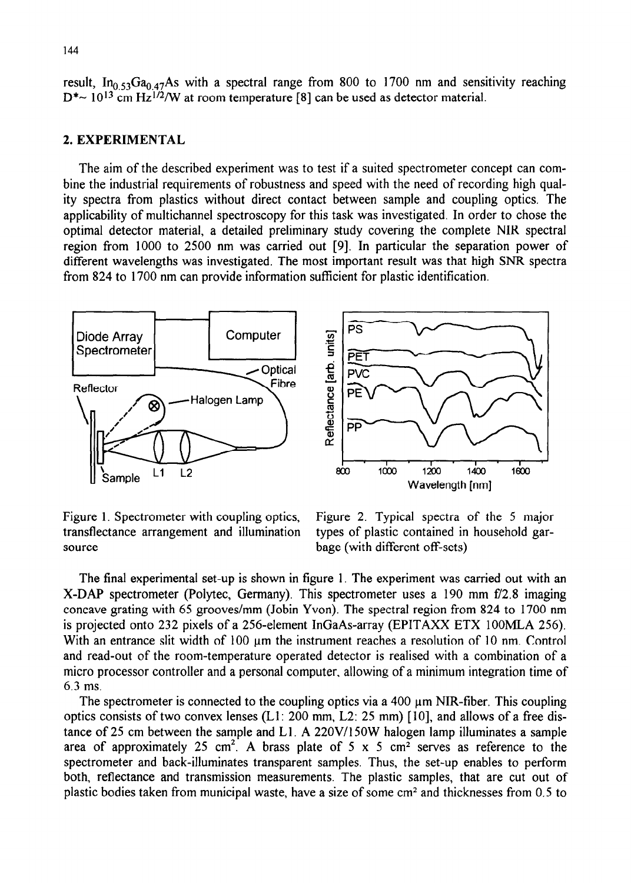result, In<sub>0.53</sub>Ga<sub>0.47</sub>As with a spectral range from 800 to 1700 nm and sensitivity reaching  $D^* \sim 10^{13}$  cm Hz<sup>1/2</sup>/W at room temperature [8] can be used as detector material.

### 2. EXPERIMENTAL

The aim of the described experiment was to test if a suited spectrometer concept can combine the industrial requirements of robustness and speed with the need of recording high quality spectra from plastics without direct contact between sample and coupling optics, The applicability of multichannel spectroscopy for this task was investigated. In order to chose the optimal detector material, a detailed preliminary study covering the complete NIR spectral region from 1000 to 2500 nm was carried out [9]. In particular the separation power of different wavelengths was investigated. The most important result was that high SNR spectra from 824 to 1700 nm can provide information sufficient for plastic identification.



transflectance arrangement and illumination types of plastic contained in household garsource bage (with different off-sets)

Figure 1. Spectrometer with coupling optics, Figure 2. Typical spectra of the 5 major

The final experimental set-up is shown in figure 1. The experiment was carried out with an X-DAP spectrometer (Polytec, Germany). This spectrometer uses a 190 mm E/2.8 imaging concave grating with 65 grooves/mm (Jobin Yvon). The spectral region from 824 to 1700 nm is projected onto 232 pixels of a 256-element InGaAs-array (EPITAXX ETX 1OOMLA 256). With an entrance slit width of  $100 \mu m$  the instrument reaches a resolution of  $10 \mu m$ . Control and read-out of the room-temperature operated detector is realised with a combination of a micro processor controller and a personal computer, allowing of a minimum integration time of 6.3 ms.

The spectrometer is connected to the coupling optics via a  $400 \mu m$  NIR-fiber. This coupling optics consists of two convex lenses (Ll : 200 mm, L2: 25 mm) [IO], and allows of a free distance of 25 cm between the sample and Ll A 22OV/15OW halogen lamp illuminates a sample area of approximately 25 cm<sup>2</sup>. A brass plate of 5 x 5 cm<sup>2</sup> serves as reference to the spectrometer and back-illuminates transparent samples. Thus, the set-up enables to perform both, reflectance and transmission measurements. The plastic samples, that are cut out of plastic bodies taken from municipal waste, have a size of some  $cm<sup>2</sup>$  and thicknesses from 0.5 to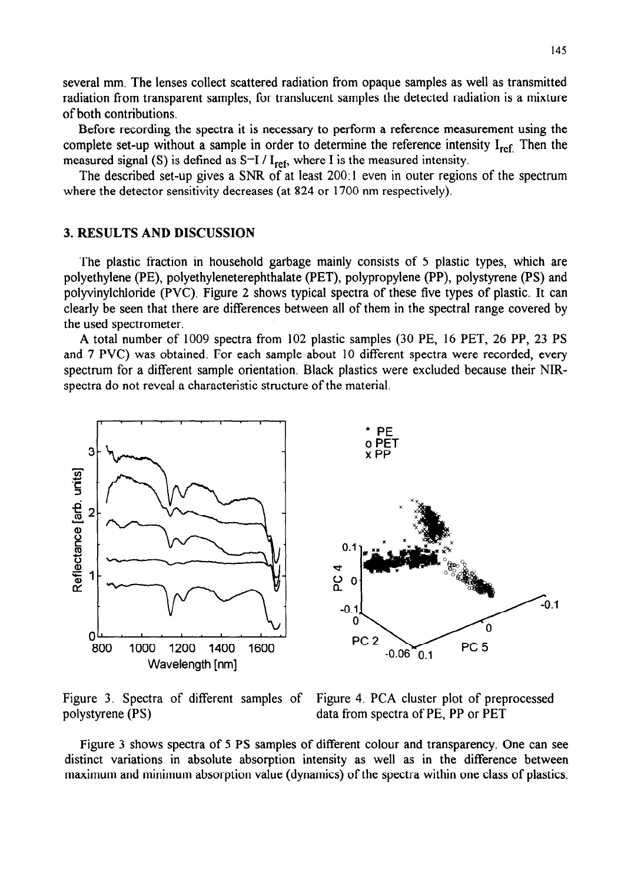several mm. The lenses collect scattered radiation from opaque samples as well as transmitted radiation from transparent samples; for translucent samples the detected radiation is a mixture of both contributions.

Before recording the spectra it is necessary to perform a reference measurement using the complete set-up without a sample in order to determine the reference intensity  $I_{ref}$ . Then the measured signal (S) is defined as  $S=I/I_{ref}$ , where I is the measured intensity.

The described set-up gives a SNR of at least 200: 1 even in outer regions of the spectrum where the detector sensitivity decreases (at 824 or 1700 nm respectively).

#### 3. RESULTS AND DISCUSSION

The plastic fraction in household garbage mainly consists of 5 plastic types, which are polyethylene (PE), polyethyleneterephthalate (PET), polypropylene (PP), polystyrene (PS) and polyvinylchloride (PVC). Figure 2 shows typical spectra of these five types of plastic. It can clearly be seen that there are differences between all of them in the spectral range covered by the used spectrometer.

A total number of 1009 spectra from 102 plastic samples (30 PE, 16 PET, 26 PP, 23 PS and 7 PVC) was obtained. For each sample about 10 different spectra were recorded, every spectrum for a different sample orientation. Black plastics were excluded because their NIRspectra do not reveal a characteristic structure of the material.



Figure 3. Spectra of different samples of Figure 4. PCA cluster plot of preprocessed polystyrene (PS) data from spectra of PE, PP or PET

Figure 3 shows spectra of 5 PS samples of different colour and transparency. One can see distinct variations in absolute absorption intensity as well as in the difference between maximum and minimum absorption value (dynamics) of the spectra within one class of plastics.